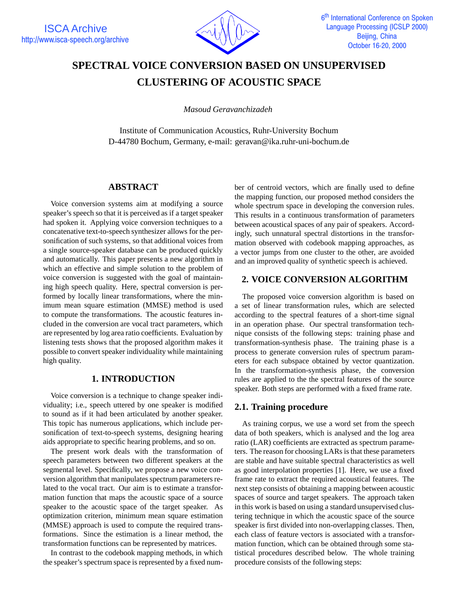

# **SPECTRAL VOICE CONVERSION BASED ON UNSUPERVISED CLUSTERING OF ACOUSTIC SPACE**

*Masoud Geravanchizadeh*

Institute of Communication Acoustics, Ruhr-University Bochum D-44780 Bochum, Germany, e-mail: geravan@ika.ruhr-uni-bochum.de

## **ABSTRACT**

Voice conversion systems aim at modifying a source speaker's speech so that it is perceived as if a target speaker had spoken it. Applying voice conversion techniques to a concatenative text-to-speech synthesizer allows for the personification of such systems, so that additional voices from a single source-speaker database can be produced quickly and automatically. This paper presents a new algorithm in which an effective and simple solution to the problem of voice conversion is suggested with the goal of maintaining high speech quality. Here, spectral conversion is performed by locally linear transformations, where the minimum mean square estimation (MMSE) method is used to compute the transformations. The acoustic features included in the conversion are vocal tract parameters, which are represented by log area ratio coefficients. Evaluation by listening tests shows that the proposed algorithm makes it possible to convert speaker individuality while maintaining high quality.

### **1. INTRODUCTION**

Voice conversion is a technique to change speaker individuality; i.e., speech uttered by one speaker is modified to sound as if it had been articulated by another speaker. This topic has numerous applications, which include personification of text-to-speech systems, designing hearing aids appropriate to specific hearing problems, and so on.

The present work deals with the transformation of speech parameters between two different speakers at the segmental level. Specifically, we propose a new voice conversion algorithm that manipulates spectrum parameters related to the vocal tract. Our aim is to estimate a transformation function that maps the acoustic space of a source speaker to the acoustic space of the target speaker. As optimization criterion, minimum mean square estimation (MMSE) approach is used to compute the required transformations. Since the estimation is a linear method, the transformation functions can be represented by matrices.

In contrast to the codebook mapping methods, in which the speaker's spectrum space is represented by a fixed number of centroid vectors, which are finally used to define the mapping function, our proposed method considers the whole spectrum space in developing the conversion rules. This results in a continuous transformation of parameters between acoustical spaces of any pair of speakers. Accordingly, such unnatural spectral distortions in the transformation observed with codebook mapping approaches, as a vector jumps from one cluster to the other, are avoided and an improved quality of synthetic speech is achieved.

## **2. VOICE CONVERSION ALGORITHM**

The proposed voice conversion algorithm is based on a set of linear transformation rules, which are selected according to the spectral features of a short-time signal in an operation phase. Our spectral transformation technique consists of the following steps: training phase and transformation-synthesis phase. The training phase is a process to generate conversion rules of spectrum parameters for each subspace obtained by vector quantization. In the transformation-synthesis phase, the conversion rules are applied to the the spectral features of the source speaker. Both steps are performed with a fixed frame rate.

## **2.1. Training procedure**

As training corpus, we use a word set from the speech data of both speakers, which is analysed and the log area ratio (LAR) coefficients are extracted as spectrum parameters. The reason for choosing LARs is that these parameters are stable and have suitable spectral characteristics as well as good interpolation properties [1]. Here, we use a fixed frame rate to extract the required acoustical features. The next step consists of obtaining a mapping between acoustic spaces of source and target speakers. The approach taken in this work is based on using a standard unsupervised clustering technique in which the acoustic space of the source speaker is first divided into non-overlapping classes. Then, each class of feature vectors is associated with a transformation function, which can be obtained through some statistical procedures described below. The whole training procedure consists of the following steps: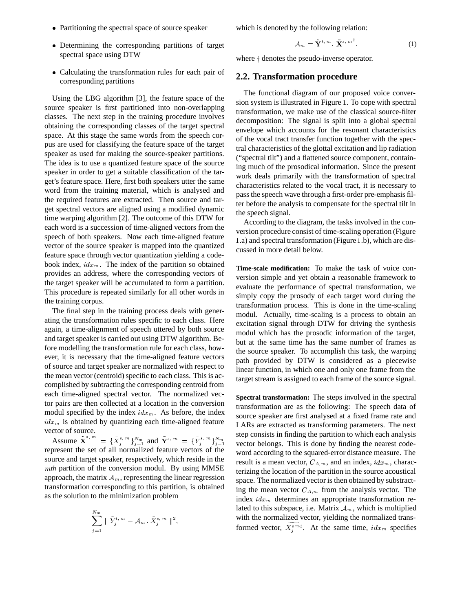- Partitioning the spectral space of source speaker
- Determining the corresponding partitions of target spectral space using DTW
- Calculating the transformation rules for each pair of corresponding partitions

Using the LBG algorithm [3], the feature space of the source speaker is first partitioned into non-overlapping classes. The next step in the training procedure involves obtaining the corresponding classes of the target spectral space. At this stage the same words from the speech corpus are used for classifying the feature space of the target speaker as used for making the source-speaker partitions. The idea is to use a quantized feature space of the source speaker in order to get a suitable classification of the target's feature space. Here, first both speakers utter the same word from the training material, which is analysed and the required features are extracted. Then source and target spectral vectors are aligned using a modified dynamic time warping algorithm [2]. The outcome of this DTW for each word is a succession of time-aligned vectors from the speech of both speakers. Now each time-aligned feature vector of the source speaker is mapped into the quantized feature space through vector quantization yielding a codebook index,  $idx_m$ . The index of the partition so obtained provides an address, where the corresponding vectors of the target speaker will be accumulated to form a partition. This procedure is repeated similarly for all other words in the training corpus.

The final step in the training process deals with generating the transformation rules specific to each class. Here again, a time-alignment of speech uttered by both source and target speaker is carried out using DTW algorithm. Before modelling the transformation rule for each class, however, it is necessary that the time-aligned feature vectors of source and target speaker are normalized with respect to the mean vector (centroid) specific to each class. This is accomplished by subtracting the corresponding centroid from each time-aligned spectral vector. The normalized vector pairs are then collected at a location in the conversion modul specified by the index  $idx_m$ . As before, the index  $idx<sub>m</sub>$  is obtained by quantizing each time-aligned feature vector of source.

Assume  $\mathbf{X}^{s,m} = {\{\bar{X}_i^{s,m}\}}_{i=1}^{N_m}$  and  $\mathbf{Y}^{s,m} = {\{\bar{Y}_i^{s,m}\}}_{i=1}^{N_m}$ represent the set of all normalized feature vectors of the source and target speaker, respectively, which reside in the <sup>m</sup>*th* partition of the conversion modul. By using MMSE approach, the matrix  $A_m$ , representing the linear regression transformation corresponding to this partition, is obtained as the solution to the minimization problem

$$
\sum_{j=1}^{N_m} \parallel \tilde{Y}_j^{t, m} - \mathcal{A}_m \cdot \tilde{X}_j^{s, m} \parallel^2,
$$

which is denoted by the following relation:

$$
\mathcal{A}_m = \tilde{\mathbf{Y}}^{t,m} \cdot \tilde{\mathbf{X}}^{s,m}, \qquad (1)
$$

where  $\dagger$  denotes the pseudo-inverse operator.

#### **2.2. Transformation procedure**

The functional diagram of our proposed voice conversion system is illustrated in Figure <sup>1</sup>. To cope with spectral transformation, we make use of the classical source-filter decomposition: The signal is split into a global spectral envelope which accounts for the resonant characteristics of the vocal tract transfer function together with the spectral characteristics of the glottal excitation and lip radiation ("spectral tilt") and a flattened source component, containing much of the prosodical information. Since the present work deals primarily with the transformation of spectral characteristics related to the vocal tract, it is necessary to pass the speech wave through a first-order pre-emphasis filter before the analysis to compensate for the spectral tilt in the speech signal.

According to the diagram, the tasks involved in the conversion procedure consist of time-scaling operation (Figure <sup>1</sup>.a) and spectral transformation (Figure <sup>1</sup>.b), which are discussed in more detail below.

**Time-scale modification:** To make the task of voice conversion simple and yet obtain a reasonable framework to evaluate the performance of spectral transformation, we simply copy the prosody of each target word during the transformation process. This is done in the time-scaling modul. Actually, time-scaling is a process to obtain an excitation signal through DTW for driving the synthesis modul which has the prosodic information of the target, but at the same time has the same number of frames as the source speaker. To accomplish this task, the warping path provided by DTW is considered as a piecewise linear function, in which one and only one frame from the target stream is assigned to each frame of the source signal.

 $j=1$  vector belongs. This is done by finding the nearest code-**Spectral transformation:** The steps involved in the spectral transformation are as the following: The speech data of source speaker are first analysed at a fixed frame rate and LARs are extracted as transforming parameters. The next step consists in finding the partition to which each analysis word according to the squared-error distance measure. The result is a mean vector,  $C_{A,m}$ , and an index,  $idx_{m}$ , characterizing the location of the partition in the source acoustical space. The normalized vector is then obtained by substracting the mean vector  $C_{A,m}$  from the analysis vector. The index  $idx_m$  determines an appropriate transformation related to this subspace, i.e. Matrix  $A_m$ , which is multiplied with the normalized vector, yielding the normalized transformed vector,  $\widetilde{X_i^{\leq t}}$ . At the same time,  $idx_m$  specifies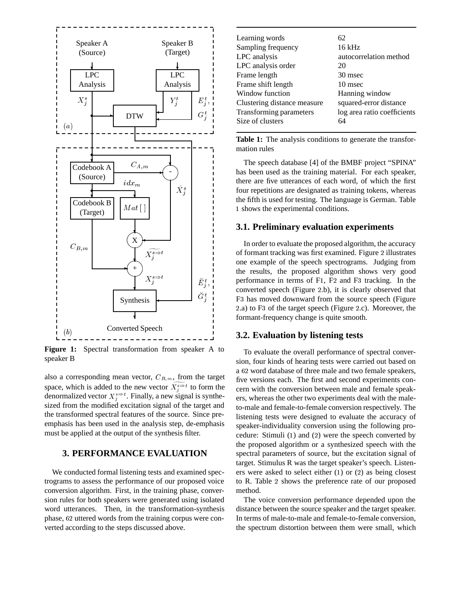

**Figure 1:** Spectral transformation from speaker A to speaker B

also a corresponding mean vector,  $C_{B,m}$ , from the target space, which is added to the new vector  $\widetilde{X_{s}^{\simeq t}}$  to form the denormalized vector  $X_i^{\infty}$ . Finally, a new signal is synthesized from the modified excitation signal of the target and the transformed spectral features of the source. Since preemphasis has been used in the analysis step, de-emphasis must be applied at the output of the synthesis filter.

## **3. PERFORMANCE EVALUATION**

We conducted formal listening tests and examined spectrograms to assess the performance of our proposed voice conversion algorithm. First, in the training phase, conversion rules for both speakers were generated using isolated word utterances. Then, in the transformation-synthesis phase, <sup>62</sup> uttered words from the training corpus were converted according to the steps discussed above.

| Learning words              | 62                          |
|-----------------------------|-----------------------------|
| Sampling frequency          | 16 kHz                      |
| LPC analysis                | autocorrelation method      |
| LPC analysis order          | 20                          |
| Frame length                | 30 msec                     |
| Frame shift length          | 10 msec                     |
| Window function             | Hanning window              |
| Clustering distance measure | squared-error distance      |
| Transforming parameters     | log area ratio coefficients |
| Size of clusters            | 64                          |
|                             |                             |

**Table 1:** The analysis conditions to generate the transformation rules

 $\forall$  | | there are five utterances of each word, of which the first The speech database [4] of the BMBF project "SPINA" has been used as the training material. For each speaker, four repetitions are designated as training tokens, whereas the fifth is used for testing. The language is German. Table <sup>1</sup> shows the experimental conditions.

#### **3.1. Preliminary evaluation experiments**

 $X_j^{s \to t}$   $\downarrow E_j^{t-1}$  performance in terms of F1, F2 and F3 tracking. In the one example of the speech spectrograms. Judging from In order to evaluate the proposed algorithm, the accuracy of formant tracking was first examined. Figure <sup>2</sup> illustrates the results, the proposed algorithm shows very good converted speech (Figure <sup>2</sup>.b), it is clearly observed that F<sup>3</sup> has moved downward from the source speech (Figure <sup>2</sup>.a) to F<sup>3</sup> of the target speech (Figure <sup>2</sup>.c). Moreover, the formant-frequency change is quite smooth.

#### **3.2. Evaluation by listening tests**

To evaluate the overall performance of spectral conversion, four kinds of hearing tests were carried out based on a <sup>62</sup> word database of three male and two female speakers, five versions each. The first and second experiments concern with the conversion between male and female speakers, whereas the other two experiments deal with the maleto-male and female-to-female conversion respectively. The listening tests were designed to evaluate the accuracy of speaker-individuality conversion using the following procedure: Stimuli (1) and (2) were the speech converted by the proposed algorithm or a synthesized speech with the spectral parameters of source, but the excitation signal of target. Stimulus R was the target speaker's speech. Listeners were asked to select either (1) or (2) as being closest to R. Table <sup>2</sup> shows the preference rate of our proposed method.

The voice conversion performance depended upon the distance between the source speaker and the target speaker. In terms of male-to-male and female-to-female conversion, the spectrum distortion between them were small, which